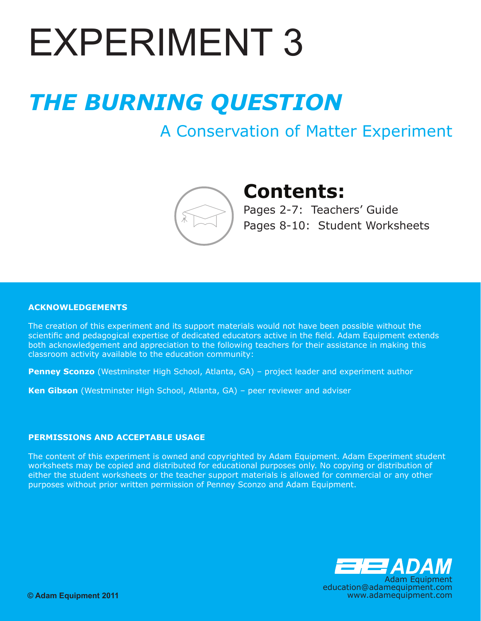# **EXPERIMENT 3**

# *THE BURNING QUESTION*

# A Conservation of Matter Experiment



# **Contents:**

Pages 2-7: Teachers' Guide Pages 8-10: Student Worksheets

#### **ACKNOWLEDGEMENTS**

The creation of this experiment and its support materials would not have been possible without the scientific and pedagogical expertise of dedicated educators active in the field. Adam Equipment extends both acknowledgement and appreciation to the following teachers for their assistance in making this classroom activity available to the education community:

**Penney Sconzo** (Westminster High School, Atlanta, GA) – project leader and experiment author

**Ken Gibson** (Westminster High School, Atlanta, GA) – peer reviewer and adviser

#### **PERMISSIONS AND ACCEPTABLE USAGE**

The content of this experiment is owned and copyrighted by Adam Equipment. Adam Experiment student worksheets may be copied and distributed for educational purposes only. No copying or distribution of either the student worksheets or the teacher support materials is allowed for commercial or any other purposes without prior written permission of Penney Sconzo and Adam Equipment.

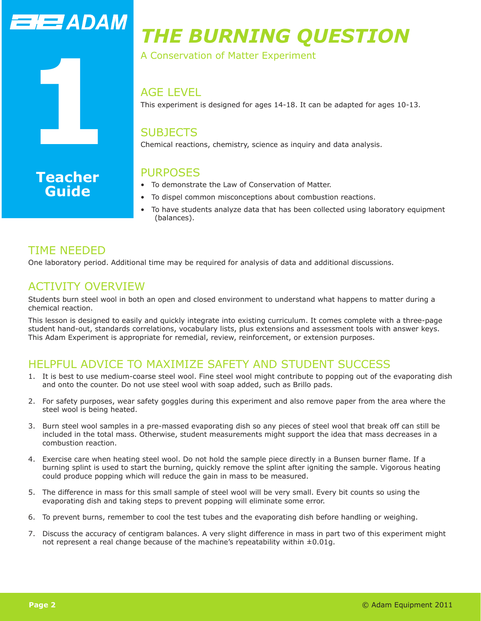

# *THE BURNING QUESTION*

A Conservation of Matter Experiment

#### AGE LEVEL

This experiment is designed for ages 14-18. It can be adapted for ages 10-13.

### **SUBJECTS**

Chemical reactions, chemistry, science as inquiry and data analysis.

## PURPOSES

- To demonstrate the Law of Conservation of Matter.
- To dispel common misconceptions about combustion reactions.
- To have students analyze data that has been collected using laboratory equipment (balances).

# TIME NEEDED

**Guide**

One laboratory period. Additional time may be required for analysis of data and additional discussions.

# ACTIVITY OVERVIEW

Students burn steel wool in both an open and closed environment to understand what happens to matter during a chemical reaction.

This lesson is designed to easily and quickly integrate into existing curriculum. It comes complete with a three-page student hand-out, standards correlations, vocabulary lists, plus extensions and assessment tools with answer keys. This Adam Experiment is appropriate for remedial, review, reinforcement, or extension purposes.

# HFI PFUL ADVICE TO MAXIMIZE SAFETY AND STUDENT SUCCESS

- 1. It is best to use medium-coarse steel wool. Fine steel wool might contribute to popping out of the evaporating dish and onto the counter. Do not use steel wool with soap added, such as Brillo pads.
- 2. For safety purposes, wear safety goggles during this experiment and also remove paper from the area where the steel wool is being heated.
- 3. Burn steel wool samples in a pre-massed evaporating dish so any pieces of steel wool that break off can still be included in the total mass. Otherwise, student measurements might support the idea that mass decreases in a combustion reaction.
- 4. Exercise care when heating steel wool. Do not hold the sample piece directly in a Bunsen burner flame. If a burning splint is used to start the burning, quickly remove the splint after igniting the sample. Vigorous heating could produce popping which will reduce the gain in mass to be measured.
- 5. The difference in mass for this small sample of steel wool will be very small. Every bit counts so using the evaporating dish and taking steps to prevent popping will eliminate some error.
- 6. To prevent burns, remember to cool the test tubes and the evaporating dish before handling or weighing.
- 7. Discuss the accuracy of centigram balances. A very slight difference in mass in part two of this experiment might not represent a real change because of the machine's repeatability within  $\pm 0.01$ g.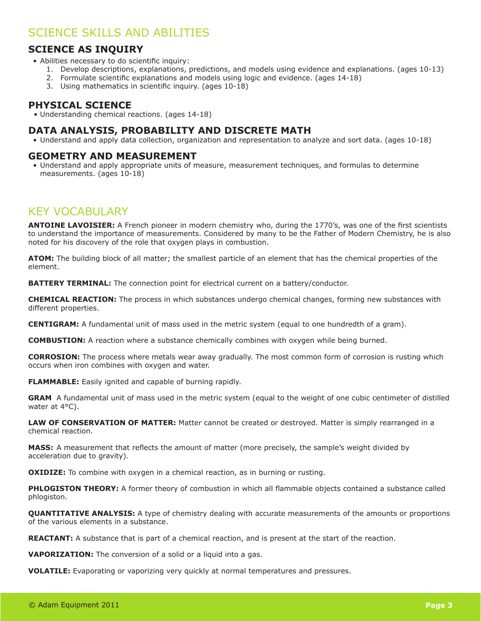### SCIENCE SKILLS AND ABILITIES

#### **SCIENCE AS INQUIRY**

- Abilities necessary to do scientific inquiry:
	- 1. Develop descriptions, explanations, predictions, and models using evidence and explanations. (ages 10-13)
	- 2. Formulate scientific explanations and models using logic and evidence. (ages 14-18)
	- 3. Using mathematics in scientific inquiry. (ages 10-18)

#### **PHYSICAL SCIENCE**

• Understanding chemical reactions. (ages 14-18)

#### **DATA ANALYSIS, PROBABILITY AND DISCRETE MATH**

• Understand and apply data collection, organization and representation to analyze and sort data. (ages 10-18)

#### **GEOMETRY AND MEASUREMENT**

• Understand and apply appropriate units of measure, measurement techniques, and formulas to determine measurements. (ages 10-18)

### KEY VOCABULARY

**ANTOINE LAVOISIER:** A French pioneer in modern chemistry who, during the 1770's, was one of the first scientists to understand the importance of measurements. Considered by many to be the Father of Modern Chemistry, he is also noted for his discovery of the role that oxygen plays in combustion.

**ATOM:** The building block of all matter; the smallest particle of an element that has the chemical properties of the element.

**BATTERY TERMINAL:** The connection point for electrical current on a battery/conductor.

**CHEMICAL REACTION:** The process in which substances undergo chemical changes, forming new substances with different properties.

**CENTIGRAM:** A fundamental unit of mass used in the metric system (equal to one hundredth of a gram).

**COMBUSTION:** A reaction where a substance chemically combines with oxygen while being burned.

**CORROSION:** The process where metals wear away gradually. The most common form of corrosion is rusting which occurs when iron combines with oxygen and water.

**FLAMMABLE:** Easily ignited and capable of burning rapidly.

**GRAM** A fundamental unit of mass used in the metric system (equal to the weight of one cubic centimeter of distilled water at 4°C).

**LAW OF CONSERVATION OF MATTER:** Matter cannot be created or destroyed. Matter is simply rearranged in a chemical reaction.

**MASS:** A measurement that reflects the amount of matter (more precisely, the sample's weight divided by acceleration due to gravity).

**OXIDIZE:** To combine with oxygen in a chemical reaction, as in burning or rusting.

**PHLOGISTON THEORY:** A former theory of combustion in which all flammable objects contained a substance called phlogiston.

**QUANTITATIVE ANALYSIS:** A type of chemistry dealing with accurate measurements of the amounts or proportions of the various elements in a substance.

**REACTANT:** A substance that is part of a chemical reaction, and is present at the start of the reaction.

**VAPORIZATION:** The conversion of a solid or a liquid into a gas.

**VOLATILE:** Evaporating or vaporizing very quickly at normal temperatures and pressures.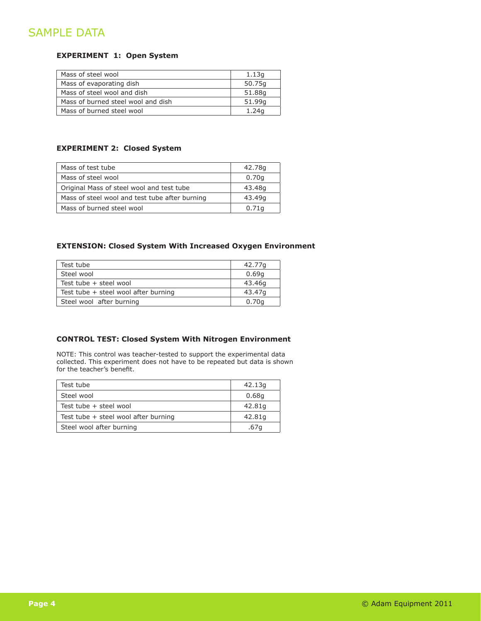# SAMPLE DATA

#### **EXPERIMENT 1: Open System**

| Mass of steel wool                 | 1.13q  |
|------------------------------------|--------|
| Mass of evaporating dish           | 50.75g |
| Mass of steel wool and dish        | 51.88g |
| Mass of burned steel wool and dish | 51.99a |
| Mass of burned steel wool          | 1.24a  |

#### **EXPERIMENT 2: Closed System**

| Mass of test tube                              | 42.78g |
|------------------------------------------------|--------|
| Mass of steel wool                             | 0.70a  |
| Original Mass of steel wool and test tube      | 43.48g |
| Mass of steel wool and test tube after burning | 43.49g |
| Mass of burned steel wool                      | 0.71a  |

#### **EXTENSION: Closed System With Increased Oxygen Environment**

| Test tube                              | 42.77g |
|----------------------------------------|--------|
| Steel wool                             | 0.69q  |
| Test tube + steel wool                 | 43.46g |
| Test tube $+$ steel wool after burning | 43.47a |
| Steel wool after burning               | 0.70q  |

#### **CONTROL TEST: Closed System With Nitrogen Environment**

NOTE: This control was teacher-tested to support the experimental data collected. This experiment does not have to be repeated but data is shown for the teacher's benefit.

| Test tube                            | 42.13g |
|--------------------------------------|--------|
| Steel wool                           | 0.68g  |
| Test tube $+$ steel wool             | 42.81g |
| Test tube + steel wool after burning | 42.81g |
| Steel wool after burning             | .67g   |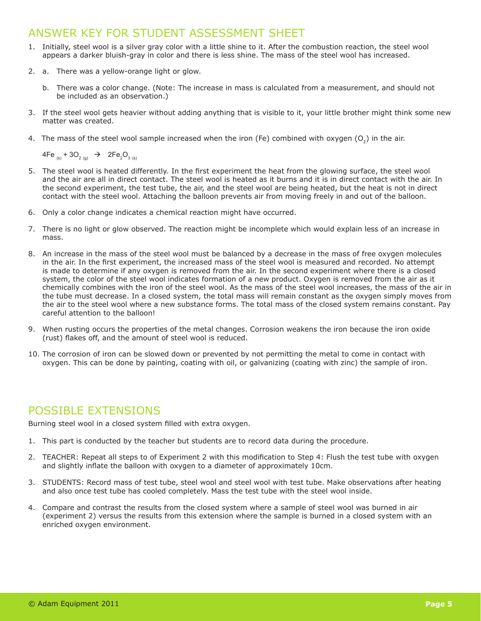## ANSWER KEY FOR STUDENT ASSESSMENT SHFFT

- 1. Initially, steel wool is a silver gray color with a little shine to it. After the combustion reaction, the steel wool appears a darker bluish-gray in color and there is less shine. The mass of the steel wool has increased.
- 2. a. There was a yellow-orange light or glow.
	- b. There was a color change. (Note: The increase in mass is calculated from a measurement, and should not be included as an observation.)
- 3. If the steel wool gets heavier without adding anything that is visible to it, your little brother might think some new matter was created.
- 4. The mass of the steel wool sample increased when the iron (Fe) combined with oxygen  $(O<sub>2</sub>)$  in the air.

4Fe  $_{\text{\tiny (S)}}$  + 3O<sub>2 (g)</sub>  $\rightarrow$  2Fe<sub>2</sub>O<sub>3 (s)</sub>

- 5. The steel wool is heated differently. In the first experiment the heat from the glowing surface, the steel wool and the air are all in direct contact. The steel wool is heated as it burns and it is in direct contact with the air. In the second experiment, the test tube, the air, and the steel wool are being heated, but the heat is not in direct contact with the steel wool. Attaching the balloon prevents air from moving freely in and out of the balloon.
- 6. Only a color change indicates a chemical reaction might have occurred.
- 7. There is no light or glow observed. The reaction might be incomplete which would explain less of an increase in mass.
- 8. An increase in the mass of the steel wool must be balanced by a decrease in the mass of free oxygen molecules in the air. In the first experiment, the increased mass of the steel wool is measured and recorded. No attempt is made to determine if any oxygen is removed from the air. In the second experiment where there is a closed system, the color of the steel wool indicates formation of a new product. Oxygen is removed from the air as it chemically combines with the iron of the steel wool. As the mass of the steel wool increases, the mass of the air in the tube must decrease. In a closed system, the total mass will remain constant as the oxygen simply moves from the air to the steel wool where a new substance forms. The total mass of the closed system remains constant. Pay careful attention to the balloon!
- 9. When rusting occurs the properties of the metal changes. Corrosion weakens the iron because the iron oxide (rust) flakes off, and the amount of steel wool is reduced.
- 10. The corrosion of iron can be slowed down or prevented by not permitting the metal to come in contact with oxygen. This can be done by painting, coating with oil, or galvanizing (coating with zinc) the sample of iron.

# POSSIBLE EXTENSIONS

Burning steel wool in a closed system filled with extra oxygen.

- 1. This part is conducted by the teacher but students are to record data during the procedure.
- 2. TEACHER: Repeat all steps to of Experiment 2 with this modification to Step 4: Flush the test tube with oxygen and slightly inflate the balloon with oxygen to a diameter of approximately 10cm.
- 3. STUDENTS: Record mass of test tube, steel wool and steel wool with test tube. Make observations after heating and also once test tube has cooled completely. Mass the test tube with the steel wool inside.
- 4. Compare and contrast the results from the closed system where a sample of steel wool was burned in air (experiment 2) versus the results from this extension where the sample is burned in a closed system with an enriched oxygen environment.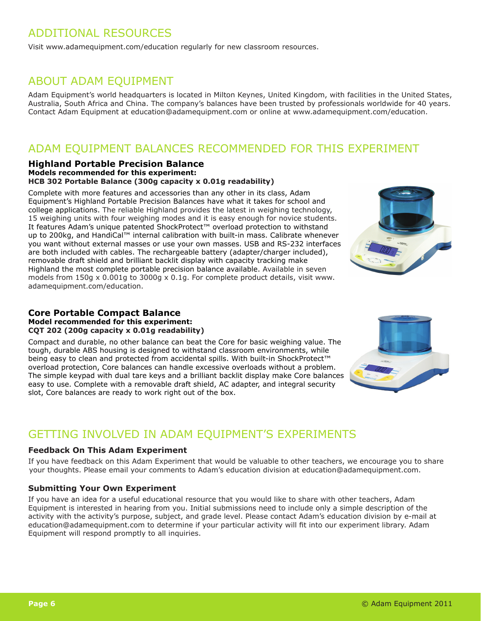# ADDITIONAL RESOURCES

Visit www.adamequipment.com/education regularly for new classroom resources.

### ABOUT ADAM EQUIPMENT

Adam Equipment's world headquarters is located in Milton Keynes, United Kingdom, with facilities in the United States, Australia, South Africa and China. The company's balances have been trusted by professionals worldwide for 40 years. Contact Adam Equipment at education@adamequipment.com or online at www.adamequipment.com/education.

# ADAM EQUIPMENT BALANCES RECOMMENDED FOR THIS EXPERIMENT

#### **Highland Portable Precision Balance Models recommended for this experiment: HCB 302 Portable Balance (300g capacity x 0.01g readability)**

Complete with more features and accessories than any other in its class, Adam Equipment's Highland Portable Precision Balances have what it takes for school and college applications. The reliable Highland provides the latest in weighing technology, 15 weighing units with four weighing modes and it is easy enough for novice students. It features Adam's unique patented ShockProtect™ overload protection to withstand up to 200kg, and HandiCal™ internal calibration with built-in mass. Calibrate whenever you want without external masses or use your own masses. USB and RS-232 interfaces are both included with cables. The rechargeable battery (adapter/charger included), removable draft shield and brilliant backlit display with capacity tracking make Highland the most complete portable precision balance available. Available in seven models from 150g x 0.001g to 3000g x 0.1g. For complete product details, visit www. adamequipment.com/education.



#### **Core Portable Compact Balance Model recommended for this experiment: CQT 202 (200g capacity x 0.01g readability)**

Compact and durable, no other balance can beat the Core for basic weighing value. The tough, durable ABS housing is designed to withstand classroom environments, while being easy to clean and protected from accidental spills. With built-in ShockProtect™ overload protection, Core balances can handle excessive overloads without a problem. The simple keypad with dual tare keys and a brilliant backlit display make Core balances easy to use. Complete with a removable draft shield, AC adapter, and integral security slot, Core balances are ready to work right out of the box.



# GETTING INVOLVED IN ADAM EQUIPMENT'S EXPERIMENTS

#### **Feedback On This Adam Experiment**

If you have feedback on this Adam Experiment that would be valuable to other teachers, we encourage you to share your thoughts. Please email your comments to Adam's education division at education@adamequipment.com.

#### **Submitting Your Own Experiment**

If you have an idea for a useful educational resource that you would like to share with other teachers, Adam Equipment is interested in hearing from you. Initial submissions need to include only a simple description of the activity with the activity's purpose, subject, and grade level. Please contact Adam's education division by e-mail at education@adamequipment.com to determine if your particular activity will fit into our experiment library. Adam Equipment will respond promptly to all inquiries.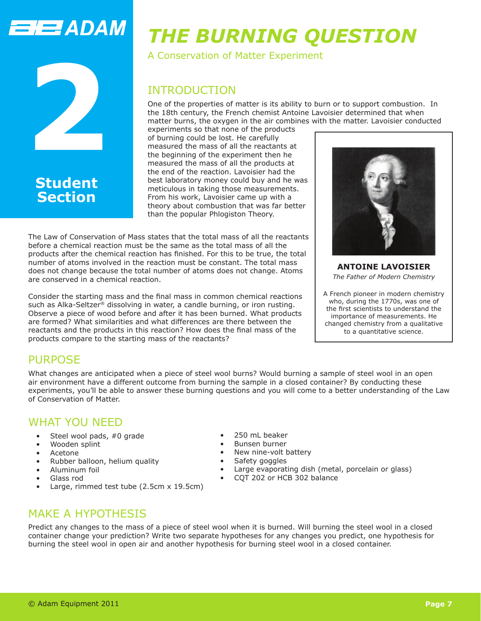# **ENERADAM**



# **Section**

# *THE BURNING QUESTION*

A Conservation of Matter Experiment

# INTRODUCTION

One of the properties of matter is its ability to burn or to support combustion. In the 18th century, the French chemist Antoine Lavoisier determined that when matter burns, the oxygen in the air combines with the matter. Lavoisier conducted

experiments so that none of the products of burning could be lost. He carefully measured the mass of all the reactants at the beginning of the experiment then he measured the mass of all the products at the end of the reaction. Lavoisier had the best laboratory money could buy and he was meticulous in taking those measurements. From his work, Lavoisier came up with a theory about combustion that was far better than the popular Phlogiston Theory.

The Law of Conservation of Mass states that the total mass of all the reactants before a chemical reaction must be the same as the total mass of all the products after the chemical reaction has finished. For this to be true, the total number of atoms involved in the reaction must be constant. The total mass does not change because the total number of atoms does not change. Atoms are conserved in a chemical reaction.

Consider the starting mass and the final mass in common chemical reactions such as Alka-Seltzer® dissolving in water, a candle burning, or iron rusting. Observe a piece of wood before and after it has been burned. What products are formed? What similarities and what differences are there between the reactants and the products in this reaction? How does the final mass of the products compare to the starting mass of the reactants?



**ANTOINE LAVOISIER** *The Father of Modern Chemistry*

A French pioneer in modern chemistry who, during the 1770s, was one of the first scientists to understand the importance of measurements. He changed chemistry from a qualitative to a quantitative science.

# PURPOSE

What changes are anticipated when a piece of steel wool burns? Would burning a sample of steel wool in an open air environment have a different outcome from burning the sample in a closed container? By conducting these experiments, you'll be able to answer these burning questions and you will come to a better understanding of the Law of Conservation of Matter.

# WHAT YOU NEED

- Steel wool pads, #0 grade
- Wooden splint
- Acetone
- Rubber balloon, helium quality
- Aluminum foil
- Glass rod
- Large, rimmed test tube (2.5cm x 19.5cm)
- 250 mL beaker
- Bunsen burner
- New nine-volt battery
- Safety goggles
- Large evaporating dish (metal, porcelain or glass)
- CQT 202 or HCB 302 balance

# MAKE A HYPOTHESIS

Predict any changes to the mass of a piece of steel wool when it is burned. Will burning the steel wool in a closed container change your prediction? Write two separate hypotheses for any changes you predict, one hypothesis for burning the steel wool in open air and another hypothesis for burning steel wool in a closed container.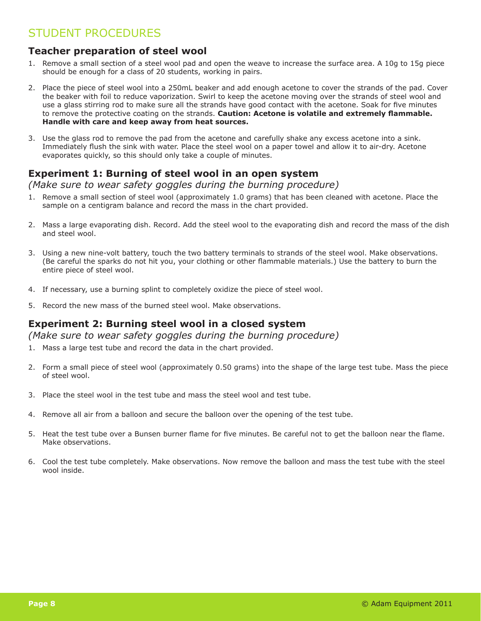# STUDENT PROCEDURES

#### **Teacher preparation of steel wool**

- 1. Remove a small section of a steel wool pad and open the weave to increase the surface area. A 10g to 15g piece should be enough for a class of 20 students, working in pairs.
- 2. Place the piece of steel wool into a 250mL beaker and add enough acetone to cover the strands of the pad. Cover the beaker with foil to reduce vaporization. Swirl to keep the acetone moving over the strands of steel wool and use a glass stirring rod to make sure all the strands have good contact with the acetone. Soak for five minutes to remove the protective coating on the strands. **Caution: Acetone is volatile and extremely flammable. Handle with care and keep away from heat sources.**
- 3. Use the glass rod to remove the pad from the acetone and carefully shake any excess acetone into a sink. Immediately flush the sink with water. Place the steel wool on a paper towel and allow it to air-dry. Acetone evaporates quickly, so this should only take a couple of minutes.

#### **Experiment 1: Burning of steel wool in an open system**

*(Make sure to wear safety goggles during the burning procedure)*

- 1. Remove a small section of steel wool (approximately 1.0 grams) that has been cleaned with acetone. Place the sample on a centigram balance and record the mass in the chart provided.
- 2. Mass a large evaporating dish. Record. Add the steel wool to the evaporating dish and record the mass of the dish and steel wool.
- 3. Using a new nine-volt battery, touch the two battery terminals to strands of the steel wool. Make observations. (Be careful the sparks do not hit you, your clothing or other flammable materials.) Use the battery to burn the entire piece of steel wool.
- 4. If necessary, use a burning splint to completely oxidize the piece of steel wool.
- 5. Record the new mass of the burned steel wool. Make observations.

#### **Experiment 2: Burning steel wool in a closed system**

*(Make sure to wear safety goggles during the burning procedure)*

- 1. Mass a large test tube and record the data in the chart provided.
- 2. Form a small piece of steel wool (approximately 0.50 grams) into the shape of the large test tube. Mass the piece of steel wool.
- 3. Place the steel wool in the test tube and mass the steel wool and test tube.
- 4. Remove all air from a balloon and secure the balloon over the opening of the test tube.
- 5. Heat the test tube over a Bunsen burner flame for five minutes. Be careful not to get the balloon near the flame. Make observations.
- 6. Cool the test tube completely. Make observations. Now remove the balloon and mass the test tube with the steel wool inside.